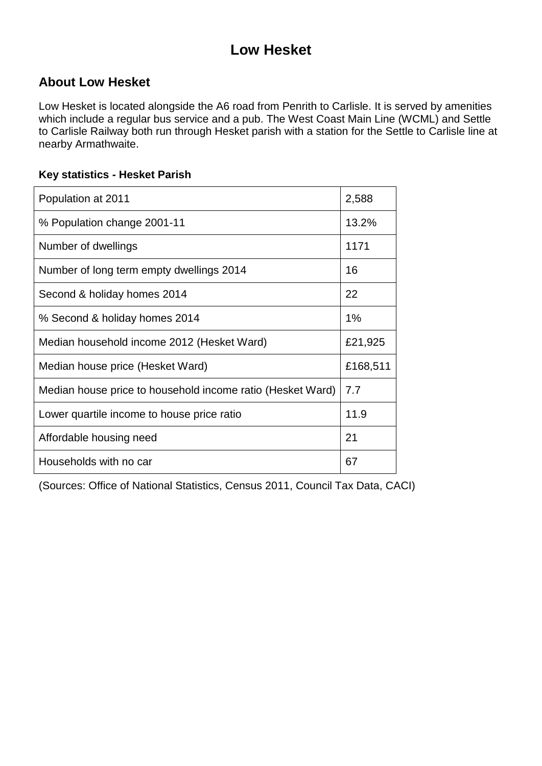# **Low Hesket**

### **About Low Hesket**

Low Hesket is located alongside the A6 road from Penrith to Carlisle. It is served by amenities which include a regular bus service and a pub. The West Coast Main Line (WCML) and Settle to Carlisle Railway both run through Hesket parish with a station for the Settle to Carlisle line at nearby Armathwaite.

#### **Key statistics - Hesket Parish**

| Population at 2011                                         | 2,588    |
|------------------------------------------------------------|----------|
| % Population change 2001-11                                | 13.2%    |
| Number of dwellings                                        | 1171     |
| Number of long term empty dwellings 2014                   | 16       |
| Second & holiday homes 2014                                | 22       |
| % Second & holiday homes 2014                              | 1%       |
| Median household income 2012 (Hesket Ward)                 | £21,925  |
| Median house price (Hesket Ward)                           | £168,511 |
| Median house price to household income ratio (Hesket Ward) | 7.7      |
| Lower quartile income to house price ratio                 | 11.9     |
| Affordable housing need                                    | 21       |
| Households with no car                                     | 67       |

(Sources: Office of National Statistics, Census 2011, Council Tax Data, CACI)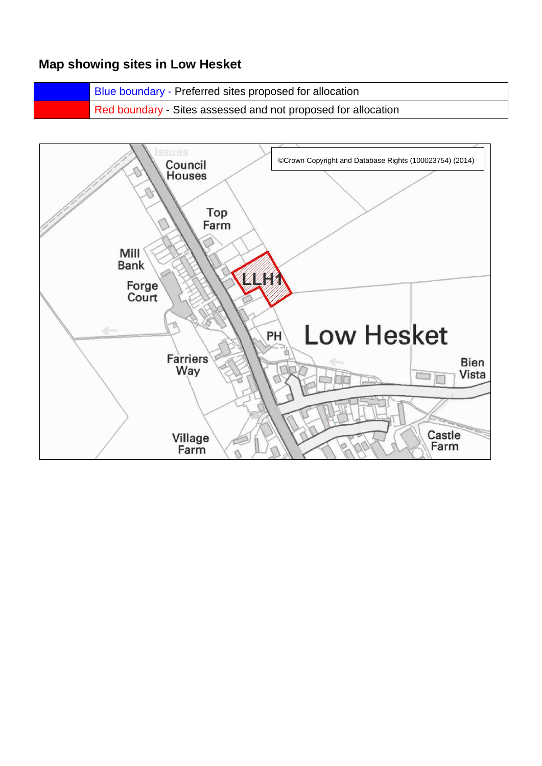### **Map showing sites in Low Hesket**

Blue boundary - Preferred sites proposed for allocation Red boundary - Sites assessed and not proposed for allocation

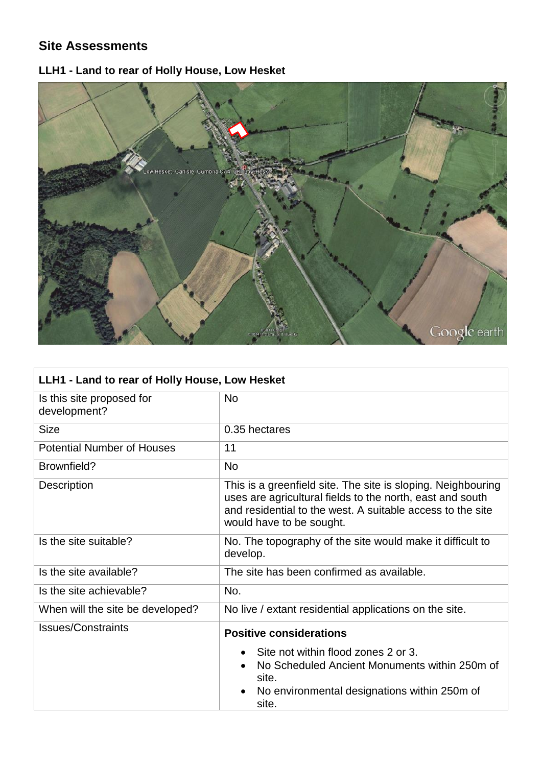## **Site Assessments**

# **LLH1 - Land to rear of Holly House, Low Hesket**



| LLH1 - Land to rear of Holly House, Low Hesket |                                                                                                                                                                                                                     |  |
|------------------------------------------------|---------------------------------------------------------------------------------------------------------------------------------------------------------------------------------------------------------------------|--|
| Is this site proposed for<br>development?      | <b>No</b>                                                                                                                                                                                                           |  |
| <b>Size</b>                                    | 0.35 hectares                                                                                                                                                                                                       |  |
| <b>Potential Number of Houses</b>              | 11                                                                                                                                                                                                                  |  |
| Brownfield?                                    | <b>No</b>                                                                                                                                                                                                           |  |
| <b>Description</b>                             | This is a greenfield site. The site is sloping. Neighbouring<br>uses are agricultural fields to the north, east and south<br>and residential to the west. A suitable access to the site<br>would have to be sought. |  |
| Is the site suitable?                          | No. The topography of the site would make it difficult to<br>develop.                                                                                                                                               |  |
| Is the site available?                         | The site has been confirmed as available.                                                                                                                                                                           |  |
| Is the site achievable?                        | No.                                                                                                                                                                                                                 |  |
| When will the site be developed?               | No live / extant residential applications on the site.                                                                                                                                                              |  |
| <b>Issues/Constraints</b>                      | <b>Positive considerations</b>                                                                                                                                                                                      |  |
|                                                | Site not within flood zones 2 or 3.<br>$\bullet$                                                                                                                                                                    |  |
|                                                | No Scheduled Ancient Monuments within 250m of<br>site.                                                                                                                                                              |  |
|                                                | No environmental designations within 250m of<br>site.                                                                                                                                                               |  |